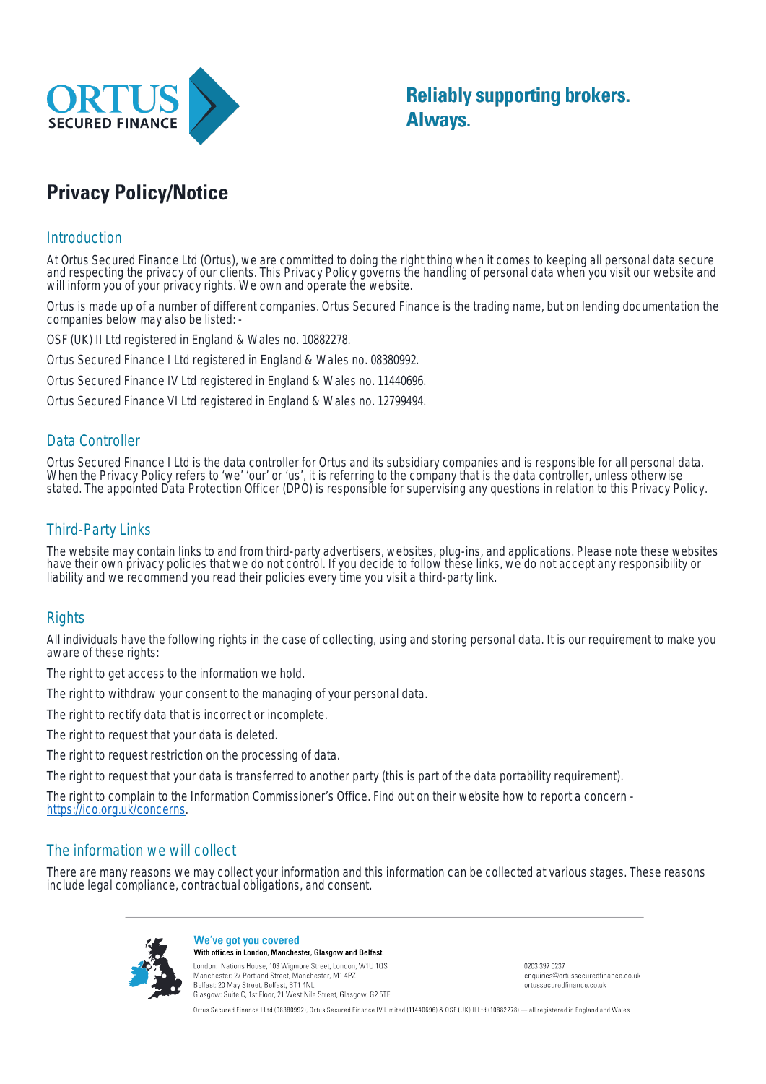

**Reliably supporting brokers. Always.** 

# **Privacy Policy/Notice**

#### **Introduction**

At Ortus Secured Finance Ltd (Ortus), we are committed to doing the right thing when it comes to keeping all personal data secure and respecting the privacy of our clients. This Privacy Policy governs the handling of personal data when you visit our website and will inform you of your privacy rights. We own and operate the website.

Ortus is made up of a number of different companies. Ortus Secured Finance is the trading name, but on lending documentation the companies below may also be listed: -

OSF (UK) II Ltd registered in England & Wales no. 10882278.

Ortus Secured Finance I Ltd registered in England & Wales no. 08380992.

Ortus Secured Finance IV Ltd registered in England & Wales no. 11440696.

Ortus Secured Finance VI Ltd registered in England & Wales no. 12799494.

## Data Controller

Ortus Secured Finance I Ltd is the data controller for Ortus and its subsidiary companies and is responsible for all personal data. When the Privacy Policy refers to 'we' 'our' or 'us', it is referring to the company that is the data controller, unless otherwise stated. The appointed Data Protection Officer (DPO) is responsible for supervising any questions in relation to this Privacy Policy.

## Third-Party Links

The website may contain links to and from third-party advertisers, websites, plug-ins, and applications. Please note these websites have their own privacy policies that we do not control. If you decide to follow these links, we do not accept any responsibility or liability and we recommend you read their policies every time you visit a third-party link.

## **Rights**

All individuals have the following rights in the case of collecting, using and storing personal data. It is our requirement to make you aware of these rights:

The right to get access to the information we hold.

The right to withdraw your consent to the managing of your personal data.

The right to rectify data that is incorrect or incomplete.

The right to request that your data is deleted.

The right to request restriction on the processing of data.

The right to request that your data is transferred to another party (this is part of the data portability requirement).

The right to complain to the Information Commissioner's Office. Find out on their website how to report a concern - https://ico.org.uk/concerns.

## The information we will collect

There are many reasons we may collect your information and this information can be collected at various stages. These reasons include legal compliance, contractual obligations, and consent.



We've got you covered With offices in London, Manchester, Glasgow and Belfast.

London: Nations House, 103 Wigmore Street, London, W1U 10S Manchester: 27 Portland Street, Manchester, M1 4P2 Belfast: 20 May Street, Belfast, BT1 4NL Glasgow: Suite C, 1st Floor, 21 West Nile Street, Glasgow, G2 5TF

0203 397 0237 enquiries@ortussecuredfinance.co.uk ortussecuredfinance co uk

Ortus Secured Finance I Ltd (08380992), Ortus Secured Finance IV Limited (11440696) & OSF (UK) II Ltd (10882278) - all registered in England and Wales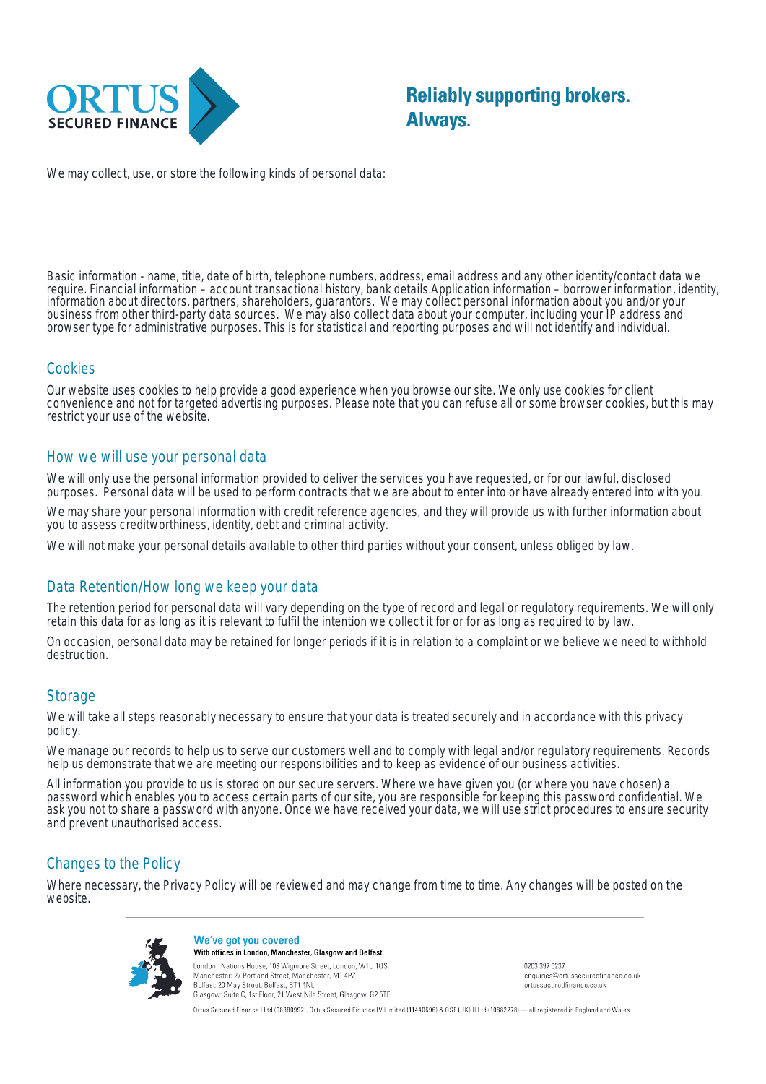

We may collect, use, or store the following kinds of personal data:

Basic information - name, title, date of birth, telephone numbers, address, email address and any other identity/contact data we require. Financial information – account transactional history, bank details.Application information – borrower information, identity, information about directors, partners, shareholders, guarantors. We may collect personal information about you and/or your business from other third-party data sources. We may also collect data about your computer, including your IP address and browser type for administrative purposes. This is for statistical and reporting purposes and will not identify and individual.

## Cookies

Our website uses cookies to help provide a good experience when you browse our site. We only use cookies for client convenience and not for targeted advertising purposes. Please note that you can refuse all or some browser cookies, but this may restrict your use of the website.

#### How we will use your personal data

We will only use the personal information provided to deliver the services you have requested, or for our lawful, disclosed purposes. Personal data will be used to perform contracts that we are about to enter into or have already entered into with you.

We may share your personal information with credit reference agencies, and they will provide us with further information about you to assess creditworthiness, identity, debt and criminal activity.

We will not make your personal details available to other third parties without your consent, unless obliged by law.

## Data Retention/How long we keep your data

The retention period for personal data will vary depending on the type of record and legal or regulatory requirements. We will only retain this data for as long as it is relevant to fulfil the intention we collect it for or for as long as required to by law.

On occasion, personal data may be retained for longer periods if it is in relation to a complaint or we believe we need to withhold destruction.

#### **Storage**

We will take all steps reasonably necessary to ensure that your data is treated securely and in accordance with this privacy policy.

We manage our records to help us to serve our customers well and to comply with legal and/or regulatory requirements. Records help us demonstrate that we are meeting our responsibilities and to keep as evidence of our business activities.

All information you provide to us is stored on our secure servers. Where we have given you (or where you have chosen) a password which enables you to access certain parts of our site, you are responsible for keeping this password confidential. We ask you not to share a password with anyone. Once we have received your data, we will use strict procedures to ensure security and prevent unauthorised access.

## Changes to the Policy

Where necessary, the Privacy Policy will be reviewed and may change from time to time. Any changes will be posted on the website.



We've got you covered With offices in London, Manchester, Glasgow and Belfast. London: Nations House, 103 Wigmore Street, London, W1U 10S

Manchester: 27 Portland Street, Manchester, M1 4PZ Belfast: 20 May Street, Belfast, BT1 4NL Glasgow: Suite C, 1st Floor, 21 West Nile Street, Glasgow, G2 5TF 0203 397 0237 enquiries@ortussecuredfinance.co.uk ortussecuredfinance co uk

Ortus Secured Finance I Ltd (08380992), Ortus Secured Finance IV Limited (11440696) & OSF (UK) II Ltd (10882278) - all registered in England and Wales